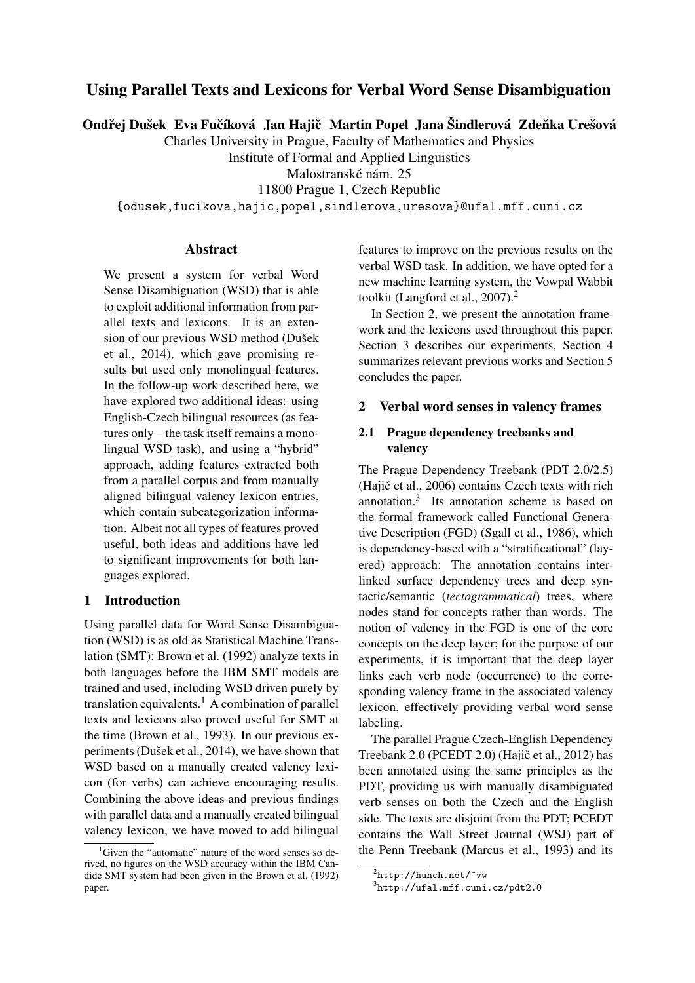# Using Parallel Texts and Lexicons for Verbal Word Sense Disambiguation

Ondřej Dušek Eva Fučíková Jan Hajič Martin Popel Jana Šindlerová Zdeňka Urešová

Charles University in Prague, Faculty of Mathematics and Physics

Institute of Formal and Applied Linguistics

Malostranské nám. 25

11800 Prague 1, Czech Republic

{odusek,fucikova,hajic,popel,sindlerova,uresova}@ufal.mff.cuni.cz

#### Abstract

We present a system for verbal Word Sense Disambiguation (WSD) that is able to exploit additional information from parallel texts and lexicons. It is an extension of our previous WSD method (Dušek et al., 2014), which gave promising results but used only monolingual features. In the follow-up work described here, we have explored two additional ideas: using English-Czech bilingual resources (as features only – the task itself remains a monolingual WSD task), and using a "hybrid" approach, adding features extracted both from a parallel corpus and from manually aligned bilingual valency lexicon entries, which contain subcategorization information. Albeit not all types of features proved useful, both ideas and additions have led to significant improvements for both languages explored.

## 1 Introduction

Using parallel data for Word Sense Disambiguation (WSD) is as old as Statistical Machine Translation (SMT): Brown et al. (1992) analyze texts in both languages before the IBM SMT models are trained and used, including WSD driven purely by translation equivalents.<sup>1</sup> A combination of parallel texts and lexicons also proved useful for SMT at the time (Brown et al., 1993). In our previous experiments (Dušek et al., 2014), we have shown that WSD based on a manually created valency lexicon (for verbs) can achieve encouraging results. Combining the above ideas and previous findings with parallel data and a manually created bilingual valency lexicon, we have moved to add bilingual

features to improve on the previous results on the verbal WSD task. In addition, we have opted for a new machine learning system, the Vowpal Wabbit toolkit (Langford et al., 2007).<sup>2</sup>

In Section 2, we present the annotation framework and the lexicons used throughout this paper. Section 3 describes our experiments, Section 4 summarizes relevant previous works and Section 5 concludes the paper.

### 2 Verbal word senses in valency frames

## 2.1 Prague dependency treebanks and valency

The Prague Dependency Treebank (PDT 2.0/2.5)  $(Haiŭ<sub>c</sub> et al., 2006) contains Czech texts with rich$ annotation.<sup>3</sup> Its annotation scheme is based on the formal framework called Functional Generative Description (FGD) (Sgall et al., 1986), which is dependency-based with a "stratificational" (layered) approach: The annotation contains interlinked surface dependency trees and deep syntactic/semantic (*tectogrammatical*) trees, where nodes stand for concepts rather than words. The notion of valency in the FGD is one of the core concepts on the deep layer; for the purpose of our experiments, it is important that the deep layer links each verb node (occurrence) to the corresponding valency frame in the associated valency lexicon, effectively providing verbal word sense labeling.

The parallel Prague Czech-English Dependency Treebank  $2.0$  (PCEDT  $2.0$ ) (Hajič et al.,  $2012$ ) has been annotated using the same principles as the PDT, providing us with manually disambiguated verb senses on both the Czech and the English side. The texts are disjoint from the PDT; PCEDT contains the Wall Street Journal (WSJ) part of the Penn Treebank (Marcus et al., 1993) and its

<sup>&</sup>lt;sup>1</sup>Given the "automatic" nature of the word senses so derived, no figures on the WSD accuracy within the IBM Candide SMT system had been given in the Brown et al. (1992) paper.

 $^{2}$ http://hunch.net/~vw

<sup>3</sup> http://ufal.mff.cuni.cz/pdt2.0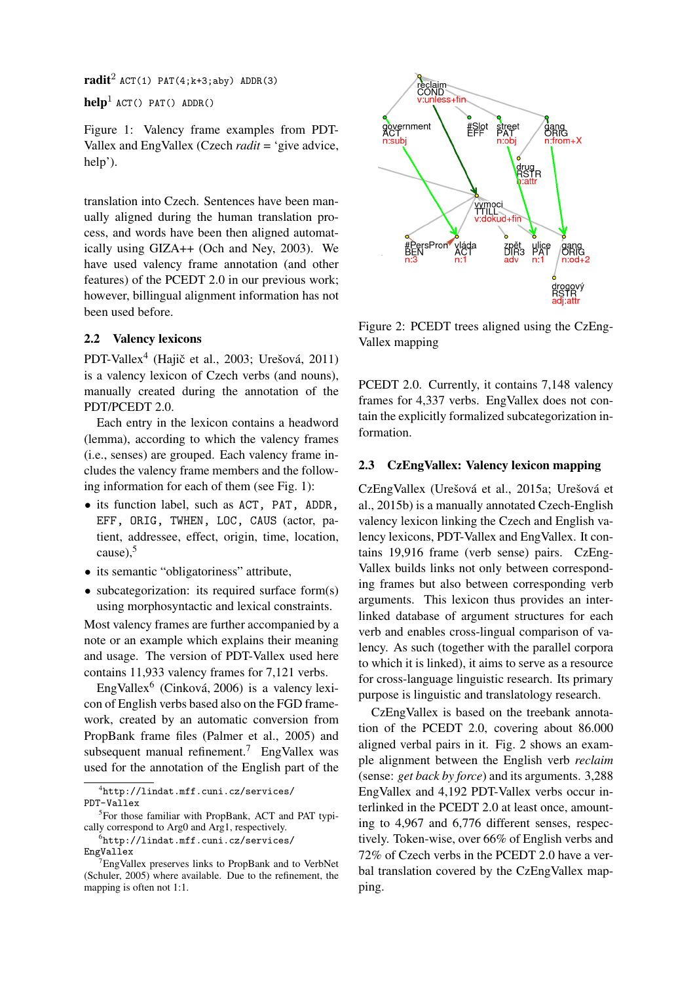$\text{radit}^2$  ACT(1) PAT(4;k+3;aby) ADDR(3)

 $\text{help}^1$  ACT() PAT() ADDR()

Figure 1: Valency frame examples from PDT-Vallex and EngVallex (Czech *radit* = 'give advice, help').

translation into Czech. Sentences have been manually aligned during the human translation process, and words have been then aligned automatically using GIZA++ (Och and Ney, 2003). We have used valency frame annotation (and other features) of the PCEDT 2.0 in our previous work; however, billingual alignment information has not been used before.

## 2.2 Valency lexicons

PDT-Vallex<sup>4</sup> (Hajič et al., 2003; Urešová, 2011) is a valency lexicon of Czech verbs (and nouns), manually created during the annotation of the PDT/PCEDT 2.0.

Each entry in the lexicon contains a headword (lemma), according to which the valency frames (i.e., senses) are grouped. Each valency frame includes the valency frame members and the following information for each of them (see Fig. 1):

- its function label, such as ACT, PAT, ADDR, EFF, ORIG, TWHEN, LOC, CAUS (actor, patient, addressee, effect, origin, time, location, cause), $5$
- its semantic "obligatoriness" attribute.
- subcategorization: its required surface form(s) using morphosyntactic and lexical constraints.

Most valency frames are further accompanied by a note or an example which explains their meaning and usage. The version of PDT-Vallex used here contains 11,933 valency frames for 7,121 verbs.

EngVallex<sup>6</sup> (Cinková, 2006) is a valency lexicon of English verbs based also on the FGD framework, created by an automatic conversion from PropBank frame files (Palmer et al., 2005) and subsequent manual refinement.<sup>7</sup> EngVallex was used for the annotation of the English part of the

4 http://lindat.mff.cuni.cz/services/ PDT-Vallex

<sup>5</sup>For those familiar with PropBank, ACT and PAT typically correspond to Arg0 and Arg1, respectively.

 $^6$ http://lindat.mff.cuni.cz/services/ EngVallex



Figure 2: PCEDT trees aligned using the CzEng-Vallex mapping

PCEDT 2.0. Currently, it contains 7,148 valency frames for 4,337 verbs. EngVallex does not contain the explicitly formalized subcategorization information.

### 2.3 CzEngVallex: Valency lexicon mapping

CzEngVallex (Urešová et al., 2015a; Urešová et al., 2015b) is a manually annotated Czech-English valency lexicon linking the Czech and English valency lexicons, PDT-Vallex and EngVallex. It contains 19,916 frame (verb sense) pairs. CzEng-Vallex builds links not only between corresponding frames but also between corresponding verb arguments. This lexicon thus provides an interlinked database of argument structures for each verb and enables cross-lingual comparison of valency. As such (together with the parallel corpora to which it is linked), it aims to serve as a resource for cross-language linguistic research. Its primary purpose is linguistic and translatology research.

CzEngVallex is based on the treebank annotation of the PCEDT 2.0, covering about 86.000 aligned verbal pairs in it. Fig. 2 shows an example alignment between the English verb *reclaim* (sense: *get back by force*) and its arguments. 3,288 EngVallex and 4,192 PDT-Vallex verbs occur interlinked in the PCEDT 2.0 at least once, amounting to 4,967 and 6,776 different senses, respectively. Token-wise, over 66% of English verbs and 72% of Czech verbs in the PCEDT 2.0 have a verbal translation covered by the CzEngVallex mapping.

<sup>&</sup>lt;sup>7</sup>EngVallex preserves links to PropBank and to VerbNet (Schuler, 2005) where available. Due to the refinement, the mapping is often not 1:1.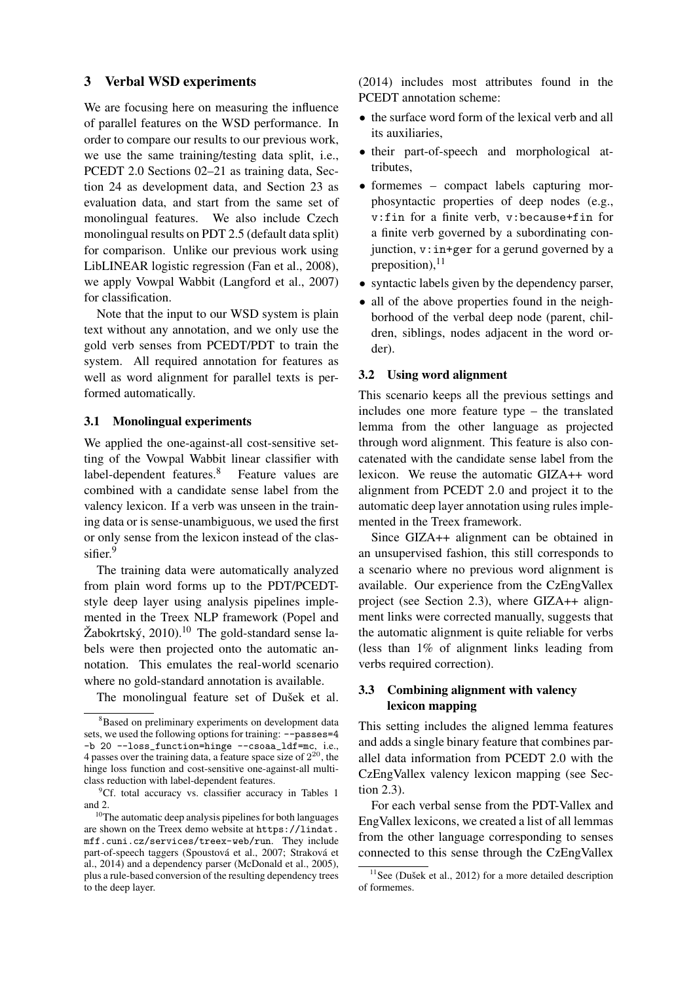### 3 Verbal WSD experiments

We are focusing here on measuring the influence of parallel features on the WSD performance. In order to compare our results to our previous work, we use the same training/testing data split, i.e., PCEDT 2.0 Sections 02–21 as training data, Section 24 as development data, and Section 23 as evaluation data, and start from the same set of monolingual features. We also include Czech monolingual results on PDT 2.5 (default data split) for comparison. Unlike our previous work using LibLINEAR logistic regression (Fan et al., 2008), we apply Vowpal Wabbit (Langford et al., 2007) for classification.

Note that the input to our WSD system is plain text without any annotation, and we only use the gold verb senses from PCEDT/PDT to train the system. All required annotation for features as well as word alignment for parallel texts is performed automatically.

#### 3.1 Monolingual experiments

We applied the one-against-all cost-sensitive setting of the Vowpal Wabbit linear classifier with label-dependent features.<sup>8</sup> Feature values are combined with a candidate sense label from the valency lexicon. If a verb was unseen in the training data or is sense-unambiguous, we used the first or only sense from the lexicon instead of the classifier.<sup>9</sup>

The training data were automatically analyzed from plain word forms up to the PDT/PCEDTstyle deep layer using analysis pipelines implemented in the Treex NLP framework (Popel and Žabokrtský,  $2010$ .<sup>10</sup> The gold-standard sense labels were then projected onto the automatic annotation. This emulates the real-world scenario where no gold-standard annotation is available.

The monolingual feature set of Dušek et al.

(2014) includes most attributes found in the PCEDT annotation scheme:

- the surface word form of the lexical verb and all its auxiliaries,
- their part-of-speech and morphological attributes,
- formemes compact labels capturing morphosyntactic properties of deep nodes (e.g., v:fin for a finite verb, v:because+fin for a finite verb governed by a subordinating conjunction, v:in+ger for a gerund governed by a preposition), $^{11}$
- syntactic labels given by the dependency parser,
- all of the above properties found in the neighborhood of the verbal deep node (parent, children, siblings, nodes adjacent in the word order).

#### 3.2 Using word alignment

This scenario keeps all the previous settings and includes one more feature type – the translated lemma from the other language as projected through word alignment. This feature is also concatenated with the candidate sense label from the lexicon. We reuse the automatic GIZA++ word alignment from PCEDT 2.0 and project it to the automatic deep layer annotation using rules implemented in the Treex framework.

Since GIZA++ alignment can be obtained in an unsupervised fashion, this still corresponds to a scenario where no previous word alignment is available. Our experience from the CzEngVallex project (see Section 2.3), where GIZA++ alignment links were corrected manually, suggests that the automatic alignment is quite reliable for verbs (less than 1% of alignment links leading from verbs required correction).

### 3.3 Combining alignment with valency lexicon mapping

This setting includes the aligned lemma features and adds a single binary feature that combines parallel data information from PCEDT 2.0 with the CzEngVallex valency lexicon mapping (see Section 2.3).

For each verbal sense from the PDT-Vallex and EngVallex lexicons, we created a list of all lemmas from the other language corresponding to senses connected to this sense through the CzEngVallex

<sup>&</sup>lt;sup>8</sup>Based on preliminary experiments on development data sets, we used the following options for training: --passes=4 -b 20 --loss\_function=hinge --csoaa\_ldf=mc, i.e., 4 passes over the training data, a feature space size of  $2^{20}$ , the hinge loss function and cost-sensitive one-against-all multiclass reduction with label-dependent features.

 ${}^{9}$ Cf. total accuracy vs. classifier accuracy in Tables 1 and 2.

<sup>10</sup>The automatic deep analysis pipelines for both languages are shown on the Treex demo website at https://lindat. mff.cuni.cz/services/treex-web/run. They include part-of-speech taggers (Spoustová et al., 2007; Straková et al., 2014) and a dependency parser (McDonald et al., 2005), plus a rule-based conversion of the resulting dependency trees to the deep layer.

 $11$ See (Dušek et al., 2012) for a more detailed description of formemes.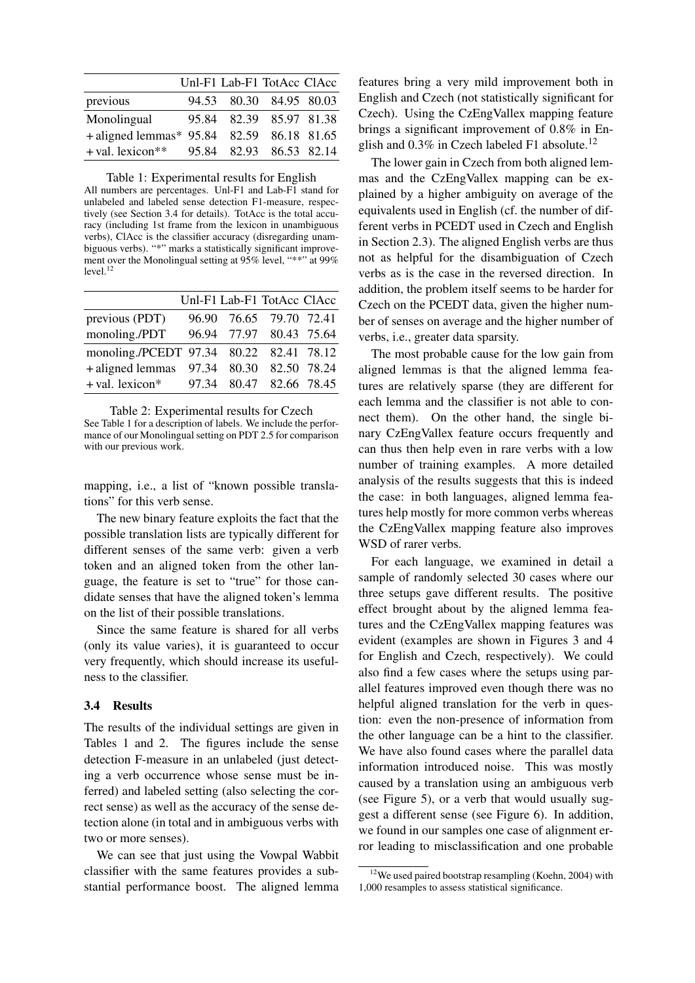|                                           | Unl-F1 Lab-F1 TotAcc ClAcc |  |
|-------------------------------------------|----------------------------|--|
| previous                                  | 94.53 80.30 84.95 80.03    |  |
| Monolingual                               | 95.84 82.39 85.97 81.38    |  |
| + aligned lemmas* 95.84 82.59 86.18 81.65 |                            |  |
| + val. lexicon**                          | 95.84 82.93 86.53 82.14    |  |

Table 1: Experimental results for English All numbers are percentages. Unl-F1 and Lab-F1 stand for unlabeled and labeled sense detection F1-measure, respectively (see Section 3.4 for details). TotAcc is the total accuracy (including 1st frame from the lexicon in unambiguous verbs), ClAcc is the classifier accuracy (disregarding unambiguous verbs). "\*" marks a statistically significant improvement over the Monolingual setting at 95% level, "\*\*" at 99%  $level.<sup>12</sup>$ 

|                                         | Unl-F1 Lab-F1 TotAcc ClAcc |  |
|-----------------------------------------|----------------------------|--|
| previous (PDT)                          | 96.90 76.65 79.70 72.41    |  |
| monoling./PDT                           | 96.94 77.97 80.43 75.64    |  |
| monoling./PCEDT 97.34 80.22 82.41 78.12 |                            |  |
| +aligned lemmas 97.34 80.30 82.50 78.24 |                            |  |
| + val. lexicon*                         | 97.34 80.47 82.66 78.45    |  |

Table 2: Experimental results for Czech See Table 1 for a description of labels. We include the performance of our Monolingual setting on PDT 2.5 for comparison with our previous work.

mapping, i.e., a list of "known possible translations" for this verb sense.

The new binary feature exploits the fact that the possible translation lists are typically different for different senses of the same verb: given a verb token and an aligned token from the other language, the feature is set to "true" for those candidate senses that have the aligned token's lemma on the list of their possible translations.

Since the same feature is shared for all verbs (only its value varies), it is guaranteed to occur very frequently, which should increase its usefulness to the classifier.

#### 3.4 Results

The results of the individual settings are given in Tables 1 and 2. The figures include the sense detection F-measure in an unlabeled (just detecting a verb occurrence whose sense must be inferred) and labeled setting (also selecting the correct sense) as well as the accuracy of the sense detection alone (in total and in ambiguous verbs with two or more senses).

We can see that just using the Vowpal Wabbit classifier with the same features provides a substantial performance boost. The aligned lemma features bring a very mild improvement both in English and Czech (not statistically significant for Czech). Using the CzEngVallex mapping feature brings a significant improvement of 0.8% in English and  $0.3\%$  in Czech labeled F1 absolute.<sup>12</sup>

The lower gain in Czech from both aligned lemmas and the CzEngVallex mapping can be explained by a higher ambiguity on average of the equivalents used in English (cf. the number of different verbs in PCEDT used in Czech and English in Section 2.3). The aligned English verbs are thus not as helpful for the disambiguation of Czech verbs as is the case in the reversed direction. In addition, the problem itself seems to be harder for Czech on the PCEDT data, given the higher number of senses on average and the higher number of verbs, i.e., greater data sparsity.

The most probable cause for the low gain from aligned lemmas is that the aligned lemma features are relatively sparse (they are different for each lemma and the classifier is not able to connect them). On the other hand, the single binary CzEngVallex feature occurs frequently and can thus then help even in rare verbs with a low number of training examples. A more detailed analysis of the results suggests that this is indeed the case: in both languages, aligned lemma features help mostly for more common verbs whereas the CzEngVallex mapping feature also improves WSD of rarer verbs.

For each language, we examined in detail a sample of randomly selected 30 cases where our three setups gave different results. The positive effect brought about by the aligned lemma features and the CzEngVallex mapping features was evident (examples are shown in Figures 3 and 4 for English and Czech, respectively). We could also find a few cases where the setups using parallel features improved even though there was no helpful aligned translation for the verb in question: even the non-presence of information from the other language can be a hint to the classifier. We have also found cases where the parallel data information introduced noise. This was mostly caused by a translation using an ambiguous verb (see Figure 5), or a verb that would usually suggest a different sense (see Figure 6). In addition, we found in our samples one case of alignment error leading to misclassification and one probable

 $12$ We used paired bootstrap resampling (Koehn, 2004) with 1,000 resamples to assess statistical significance.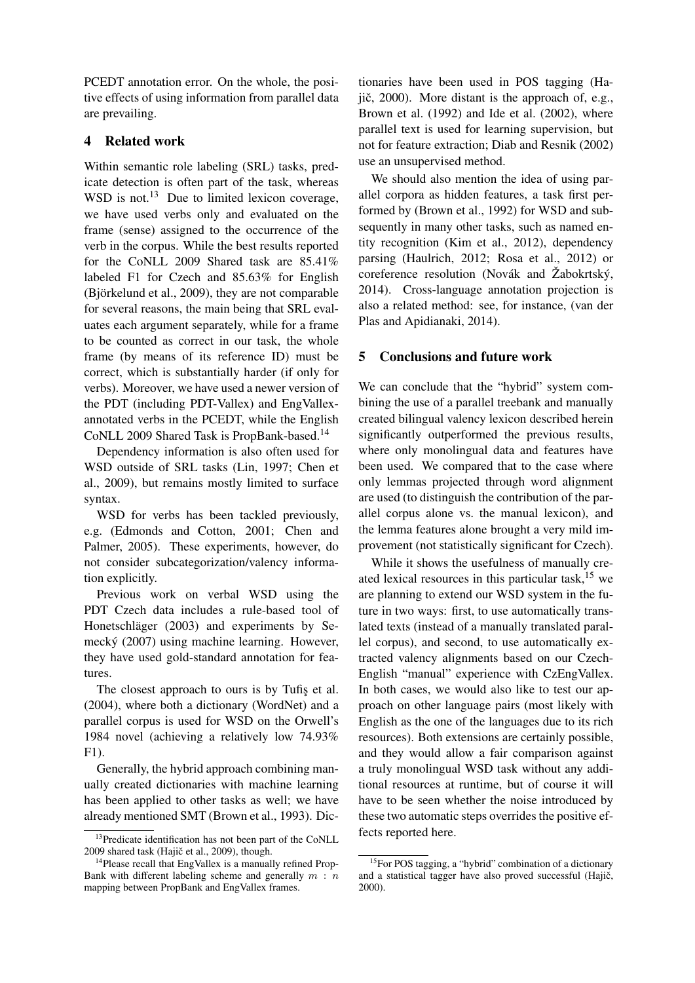PCEDT annotation error. On the whole, the positive effects of using information from parallel data are prevailing.

## 4 Related work

Within semantic role labeling (SRL) tasks, predicate detection is often part of the task, whereas WSD is not.<sup>13</sup> Due to limited lexicon coverage, we have used verbs only and evaluated on the frame (sense) assigned to the occurrence of the verb in the corpus. While the best results reported for the CoNLL 2009 Shared task are 85.41% labeled F1 for Czech and 85.63% for English (Björkelund et al., 2009), they are not comparable for several reasons, the main being that SRL evaluates each argument separately, while for a frame to be counted as correct in our task, the whole frame (by means of its reference ID) must be correct, which is substantially harder (if only for verbs). Moreover, we have used a newer version of the PDT (including PDT-Vallex) and EngVallexannotated verbs in the PCEDT, while the English CoNLL 2009 Shared Task is PropBank-based.<sup>14</sup>

Dependency information is also often used for WSD outside of SRL tasks (Lin, 1997; Chen et al., 2009), but remains mostly limited to surface syntax.

WSD for verbs has been tackled previously, e.g. (Edmonds and Cotton, 2001; Chen and Palmer, 2005). These experiments, however, do not consider subcategorization/valency information explicitly.

Previous work on verbal WSD using the PDT Czech data includes a rule-based tool of Honetschläger (2003) and experiments by Semecký (2007) using machine learning. However, they have used gold-standard annotation for features.

The closest approach to ours is by Tufis et al. (2004), where both a dictionary (WordNet) and a parallel corpus is used for WSD on the Orwell's 1984 novel (achieving a relatively low 74.93% F1).

Generally, the hybrid approach combining manually created dictionaries with machine learning has been applied to other tasks as well; we have already mentioned SMT (Brown et al., 1993). Dic-

tionaries have been used in POS tagging (Haiič,  $2000$ ). More distant is the approach of, e.g., Brown et al. (1992) and Ide et al. (2002), where parallel text is used for learning supervision, but not for feature extraction; Diab and Resnik (2002) use an unsupervised method.

We should also mention the idea of using parallel corpora as hidden features, a task first performed by (Brown et al., 1992) for WSD and subsequently in many other tasks, such as named entity recognition (Kim et al., 2012), dependency parsing (Haulrich, 2012; Rosa et al., 2012) or coreference resolution (Novák and Žabokrtský, 2014). Cross-language annotation projection is also a related method: see, for instance, (van der Plas and Apidianaki, 2014).

# 5 Conclusions and future work

We can conclude that the "hybrid" system combining the use of a parallel treebank and manually created bilingual valency lexicon described herein significantly outperformed the previous results, where only monolingual data and features have been used. We compared that to the case where only lemmas projected through word alignment are used (to distinguish the contribution of the parallel corpus alone vs. the manual lexicon), and the lemma features alone brought a very mild improvement (not statistically significant for Czech).

While it shows the usefulness of manually created lexical resources in this particular task, $15$  we are planning to extend our WSD system in the future in two ways: first, to use automatically translated texts (instead of a manually translated parallel corpus), and second, to use automatically extracted valency alignments based on our Czech-English "manual" experience with CzEngVallex. In both cases, we would also like to test our approach on other language pairs (most likely with English as the one of the languages due to its rich resources). Both extensions are certainly possible, and they would allow a fair comparison against a truly monolingual WSD task without any additional resources at runtime, but of course it will have to be seen whether the noise introduced by these two automatic steps overrides the positive effects reported here.

<sup>&</sup>lt;sup>13</sup>Predicate identification has not been part of the CoNLL 2009 shared task (Hajič et al., 2009), though.

<sup>&</sup>lt;sup>14</sup>Please recall that EngVallex is a manually refined Prop-Bank with different labeling scheme and generally  $m : n$ mapping between PropBank and EngVallex frames.

<sup>&</sup>lt;sup>15</sup>For POS tagging, a "hybrid" combination of a dictionary and a statistical tagger have also proved successful  $(Haji\varepsilon,`')$ 2000).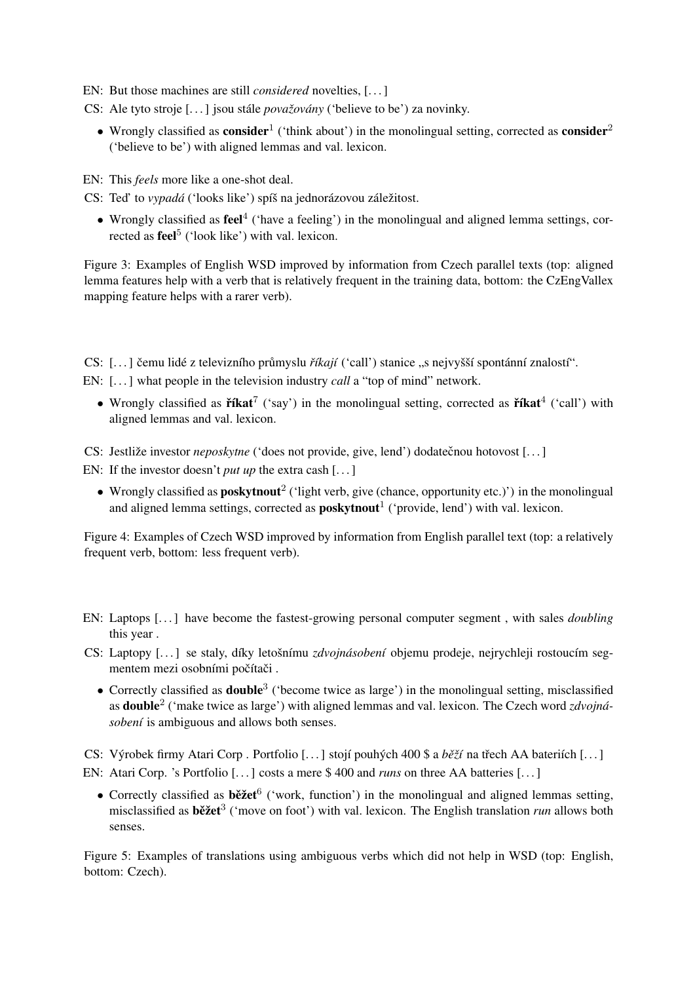EN: But those machines are still *considered* novelties, [. . . ]

- CS: Ale tyto stroje [. . . ] jsou stále *považovány* ('believe to be') za novinky.
	- Wrongly classified as consider<sup>1</sup> ('think about') in the monolingual setting, corrected as consider<sup>2</sup> ('believe to be') with aligned lemmas and val. lexicon.

EN: This *feels* more like a one-shot deal.

- CS: Ted' to *vypadá* ('looks like') spíš na jednorázovou záležitost.
	- Wrongly classified as  $\text{feel}^4$  ('have a feeling') in the monolingual and aligned lemma settings, corrected as **feel**<sup>5</sup> ('look like') with val. lexicon.

Figure 3: Examples of English WSD improved by information from Czech parallel texts (top: aligned lemma features help with a verb that is relatively frequent in the training data, bottom: the CzEngVallex mapping feature helps with a rarer verb).

CS: [...] čemu lidé z televizního průmyslu *říkají* ('call') stanice "s nejvyšší spontánní znalostí".

EN: [...] what people in the television industry *call* a "top of mind" network.

• Wrongly classified as  $\check{r}$ fkat<sup>7</sup> ('say') in the monolingual setting, corrected as  $\check{r}$ fkat<sup>4</sup> ('call') with aligned lemmas and val. lexicon.

CS: Jestliže investor *neposkytne* ('does not provide, give, lend') dodatečnou hotovost [...]

EN: If the investor doesn't *put up* the extra cash [...]

• Wrongly classified as **poskytnout**<sup>2</sup> ('light verb, give (chance, opportunity etc.)') in the monolingual and aligned lemma settings, corrected as  $\text{poskytnout}^1$  ('provide, lend') with val. lexicon.

Figure 4: Examples of Czech WSD improved by information from English parallel text (top: a relatively frequent verb, bottom: less frequent verb).

- EN: Laptops [. . . ] have become the fastest-growing personal computer segment , with sales *doubling* this year .
- CS: Laptopy [. . . ] se staly, díky letošnímu *zdvojnásobení* objemu prodeje, nejrychleji rostoucím segmentem mezi osobními počítači.
	- Correctly classified as **double**<sup>3</sup> ('become twice as large') in the monolingual setting, misclassified as **double**<sup>2</sup> ('make twice as large') with aligned lemmas and val. lexicon. The Czech word *zdvojnásobení* is ambiguous and allows both senses.

CS: Výrobek firmy Atari Corp . Portfolio [...] stojí pouhých 400 \$ a *běží* na třech AA bateriích [...] EN: Atari Corp. 's Portfolio [. . . ] costs a mere \$ 400 and *runs* on three AA batteries [. . . ]

• Correctly classified as  $b\check{e}z\check{e}t^6$  ('work, function') in the monolingual and aligned lemmas setting, misclassified as **běžet**<sup>3</sup> ('move on foot') with val. lexicon. The English translation *run* allows both senses.

Figure 5: Examples of translations using ambiguous verbs which did not help in WSD (top: English, bottom: Czech).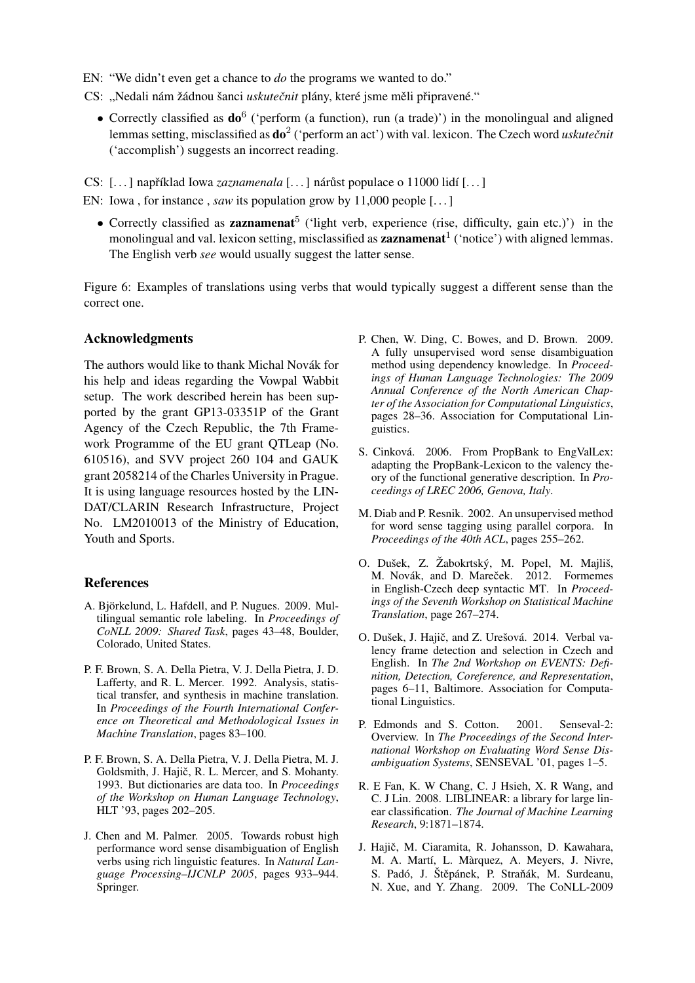EN: "We didn't even get a chance to *do* the programs we wanted to do."

CS: "Nedali nám žádnou šanci *uskutečnit* plány, které jsme měli připravené."

• Correctly classified as  $do^6$  ('perform (a function), run (a trade)') in the monolingual and aligned lemmas setting, misclassified as  $do^2$  ('perform an act') with val. lexicon. The Czech word *uskutečnit* ('accomplish') suggests an incorrect reading.

CS: [...] například Iowa *zaznamenala* [...] nárůst populace o 11000 lidí [...]

- EN: Iowa, for instance, *saw* its population grow by 11,000 people [...]
	- Correctly classified as **zaznamenat**<sup>5</sup> ('light verb, experience (rise, difficulty, gain etc.)') in the monolingual and val. lexicon setting, misclassified as **zaznamenat**<sup>1</sup> ('notice') with aligned lemmas. The English verb *see* would usually suggest the latter sense.

Figure 6: Examples of translations using verbs that would typically suggest a different sense than the correct one.

### Acknowledgments

The authors would like to thank Michal Novák for his help and ideas regarding the Vowpal Wabbit setup. The work described herein has been supported by the grant GP13-03351P of the Grant Agency of the Czech Republic, the 7th Framework Programme of the EU grant QTLeap (No. 610516), and SVV project 260 104 and GAUK grant 2058214 of the Charles University in Prague. It is using language resources hosted by the LIN-DAT/CLARIN Research Infrastructure, Project No. LM2010013 of the Ministry of Education, Youth and Sports.

#### References

- A. Björkelund, L. Hafdell, and P. Nugues. 2009. Multilingual semantic role labeling. In *Proceedings of CoNLL 2009: Shared Task*, pages 43–48, Boulder, Colorado, United States.
- P. F. Brown, S. A. Della Pietra, V. J. Della Pietra, J. D. Lafferty, and R. L. Mercer. 1992. Analysis, statistical transfer, and synthesis in machine translation. In *Proceedings of the Fourth International Conference on Theoretical and Methodological Issues in Machine Translation*, pages 83–100.
- P. F. Brown, S. A. Della Pietra, V. J. Della Pietra, M. J. Goldsmith, J. Hajič, R. L. Mercer, and S. Mohanty. 1993. But dictionaries are data too. In *Proceedings of the Workshop on Human Language Technology*, HLT '93, pages 202–205.
- J. Chen and M. Palmer. 2005. Towards robust high performance word sense disambiguation of English verbs using rich linguistic features. In *Natural Language Processing–IJCNLP 2005*, pages 933–944. Springer.
- P. Chen, W. Ding, C. Bowes, and D. Brown. 2009. A fully unsupervised word sense disambiguation method using dependency knowledge. In *Proceedings of Human Language Technologies: The 2009 Annual Conference of the North American Chapter of the Association for Computational Linguistics*, pages 28–36. Association for Computational Linguistics.
- S. Cinková. 2006. From PropBank to EngValLex: adapting the PropBank-Lexicon to the valency theory of the functional generative description. In *Proceedings of LREC 2006, Genova, Italy*.
- M. Diab and P. Resnik. 2002. An unsupervised method for word sense tagging using parallel corpora. In *Proceedings of the 40th ACL*, pages 255–262.
- O. Dušek, Z. Žabokrtský, M. Popel, M. Majliš, M. Novák, and D. Mareček. 2012. Formemes in English-Czech deep syntactic MT. In *Proceedings of the Seventh Workshop on Statistical Machine Translation*, page 267–274.
- O. Dušek, J. Hajič, and Z. Urešová. 2014. Verbal valency frame detection and selection in Czech and English. In *The 2nd Workshop on EVENTS: Definition, Detection, Coreference, and Representation*, pages 6–11, Baltimore. Association for Computational Linguistics.
- P. Edmonds and S. Cotton. 2001. Senseval-2: Overview. In *The Proceedings of the Second International Workshop on Evaluating Word Sense Disambiguation Systems*, SENSEVAL '01, pages 1–5.
- R. E Fan, K. W Chang, C. J Hsieh, X. R Wang, and C. J Lin. 2008. LIBLINEAR: a library for large linear classification. *The Journal of Machine Learning Research*, 9:1871–1874.
- J. Hajič, M. Ciaramita, R. Johansson, D. Kawahara, M. A. Martí, L. Màrquez, A. Meyers, J. Nivre, S. Padó, J. Štěpánek, P. Straňák, M. Surdeanu, N. Xue, and Y. Zhang. 2009. The CoNLL-2009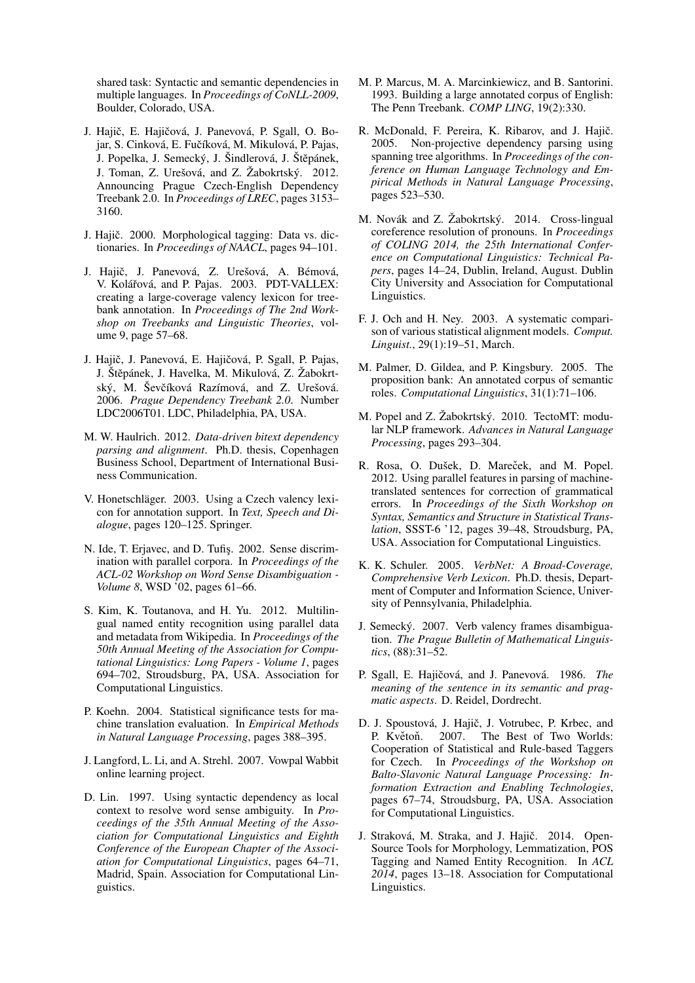shared task: Syntactic and semantic dependencies in multiple languages. In *Proceedings of CoNLL-2009*, Boulder, Colorado, USA.

- J. Hajič, E. Hajičová, J. Panevová, P. Sgall, O. Bojar, S. Cinková, E. Fučíková, M. Mikulová, P. Pajas, J. Popelka, J. Semecký, J. Šindlerová, J. Štěpánek, J. Toman, Z. Urešová, and Z. Žabokrtský. 2012. Announcing Prague Czech-English Dependency Treebank 2.0. In *Proceedings of LREC*, pages 3153– 3160.
- J. Hajič. 2000. Morphological tagging: Data vs. dictionaries. In *Proceedings of NAACL*, pages 94–101.
- J. Hajič, J. Panevová, Z. Urešová, A. Bémová, V. Kolářová, and P. Pajas. 2003. PDT-VALLEX: creating a large-coverage valency lexicon for treebank annotation. In *Proceedings of The 2nd Workshop on Treebanks and Linguistic Theories*, volume 9, page 57–68.
- J. Hajič, J. Panevová, E. Hajičová, P. Sgall, P. Pajas, J. Štěpánek, J. Havelka, M. Mikulová, Z. Žabokrtský, M. Ševčíková Razímová, and Z. Urešová. 2006. *Prague Dependency Treebank 2.0*. Number LDC2006T01. LDC, Philadelphia, PA, USA.
- M. W. Haulrich. 2012. *Data-driven bitext dependency parsing and alignment*. Ph.D. thesis, Copenhagen Business School, Department of International Business Communication.
- V. Honetschläger. 2003. Using a Czech valency lexicon for annotation support. In *Text, Speech and Dialogue*, pages 120–125. Springer.
- N. Ide, T. Erjavec, and D. Tufiş. 2002. Sense discrimination with parallel corpora. In *Proceedings of the ACL-02 Workshop on Word Sense Disambiguation - Volume 8*, WSD '02, pages 61–66.
- S. Kim, K. Toutanova, and H. Yu. 2012. Multilingual named entity recognition using parallel data and metadata from Wikipedia. In *Proceedings of the 50th Annual Meeting of the Association for Computational Linguistics: Long Papers - Volume 1*, pages 694–702, Stroudsburg, PA, USA. Association for Computational Linguistics.
- P. Koehn. 2004. Statistical significance tests for machine translation evaluation. In *Empirical Methods in Natural Language Processing*, pages 388–395.
- J. Langford, L. Li, and A. Strehl. 2007. Vowpal Wabbit online learning project.
- D. Lin. 1997. Using syntactic dependency as local context to resolve word sense ambiguity. In *Proceedings of the 35th Annual Meeting of the Association for Computational Linguistics and Eighth Conference of the European Chapter of the Association for Computational Linguistics*, pages 64–71, Madrid, Spain. Association for Computational Linguistics.
- M. P. Marcus, M. A. Marcinkiewicz, and B. Santorini. 1993. Building a large annotated corpus of English: The Penn Treebank. *COMP LING*, 19(2):330.
- R. McDonald, F. Pereira, K. Ribarov, and J. Hajič. 2005. Non-projective dependency parsing using spanning tree algorithms. In *Proceedings of the conference on Human Language Technology and Empirical Methods in Natural Language Processing*, pages 523–530.
- M. Novák and Z. Žabokrtský. 2014. Cross-lingual coreference resolution of pronouns. In *Proceedings of COLING 2014, the 25th International Conference on Computational Linguistics: Technical Papers*, pages 14–24, Dublin, Ireland, August. Dublin City University and Association for Computational Linguistics.
- F. J. Och and H. Ney. 2003. A systematic comparison of various statistical alignment models. *Comput. Linguist.*, 29(1):19–51, March.
- M. Palmer, D. Gildea, and P. Kingsbury. 2005. The proposition bank: An annotated corpus of semantic roles. *Computational Linguistics*, 31(1):71–106.
- M. Popel and Z. Žabokrtský. 2010. TectoMT: modular NLP framework. *Advances in Natural Language Processing*, pages 293–304.
- R. Rosa, O. Dušek, D. Mareček, and M. Popel. 2012. Using parallel features in parsing of machinetranslated sentences for correction of grammatical errors. In *Proceedings of the Sixth Workshop on Syntax, Semantics and Structure in Statistical Translation*, SSST-6 '12, pages 39–48, Stroudsburg, PA, USA. Association for Computational Linguistics.
- K. K. Schuler. 2005. *VerbNet: A Broad-Coverage, Comprehensive Verb Lexicon*. Ph.D. thesis, Department of Computer and Information Science, University of Pennsylvania, Philadelphia.
- J. Semecký. 2007. Verb valency frames disambiguation. *The Prague Bulletin of Mathematical Linguistics*, (88):31–52.
- P. Sgall, E. Hajičová, and J. Panevová. 1986. *The meaning of the sentence in its semantic and pragmatic aspects*. D. Reidel, Dordrecht.
- D. J. Spoustová, J. Hajič, J. Votrubec, P. Krbec, and P. Květoň. 2007. The Best of Two Worlds: Cooperation of Statistical and Rule-based Taggers for Czech. In *Proceedings of the Workshop on Balto-Slavonic Natural Language Processing: Information Extraction and Enabling Technologies*, pages 67–74, Stroudsburg, PA, USA. Association for Computational Linguistics.
- J. Straková, M. Straka, and J. Hajič. 2014. Open-Source Tools for Morphology, Lemmatization, POS Tagging and Named Entity Recognition. In *ACL 2014*, pages 13–18. Association for Computational Linguistics.